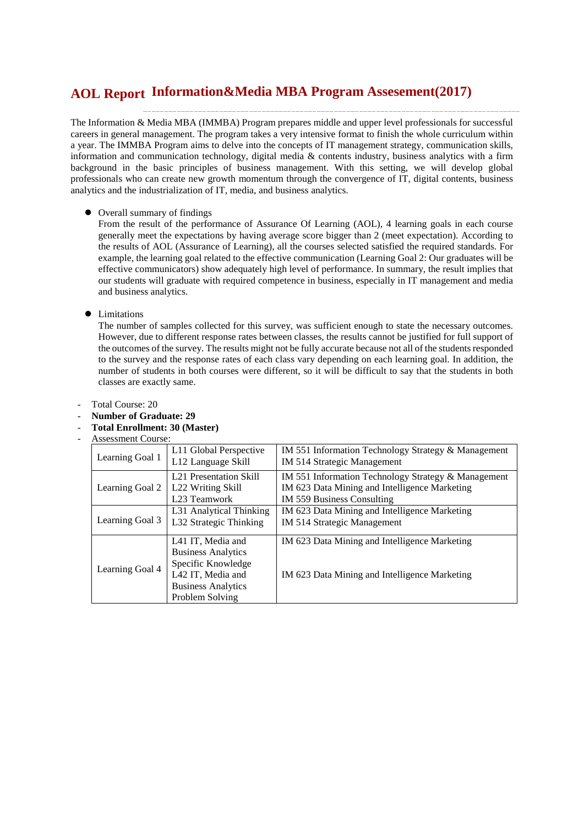# **Information&Media MBA Program Assesement(2017) AOL Report**

The Information & Media MBA (IMMBA) Program prepares middle and upper level professionals for successful careers in general management. The program takes a very intensive format to finish the whole curriculum within a year. The IMMBA Program aims to delve into the concepts of IT management strategy, communication skills, information and communication technology, digital media & contents industry, business analytics with a firm background in the basic principles of business management. With this setting, we will develop global professionals who can create new growth momentum through the convergence of IT, digital contents, business analytics and the industrialization of IT, media, and business analytics.

#### $\bullet$  Overall summary of findings

From the result of the performance of Assurance Of Learning (AOL), 4 learning goals in each course generally meet the expectations by having average score bigger than 2 (meet expectation). According to the results of AOL (Assurance of Learning), all the courses selected satisfied the required standards. For example, the learning goal related to the effective communication (Learning Goal 2: Our graduates will be effective communicators) show adequately high level of performance. In summary, the result implies that our students will graduate with required competence in business, especially in IT management and media and business analytics.

#### **•** Limitations

The number of samples collected for this survey, was sufficient enough to state the necessary outcomes. However, due to different response rates between classes, the results cannot be justified for full support of the outcomes of the survey. The results might not be fully accurate because not all of the students responded to the survey and the response rates of each class vary depending on each learning goal. In addition, the number of students in both courses were different, so it will be difficult to say that the students in both classes are exactly same.

- Total Course: 20
- **Number of Graduate: 29**
- **Total Enrollment: 30 (Master)**
- Assessment Course:

| Learning Goal 1                                                                                        | L11 Global Perspective<br>L12 Language Skill                                                                                              | IM 551 Information Technology Strategy & Management<br><b>IM 514 Strategic Management</b>                                          |
|--------------------------------------------------------------------------------------------------------|-------------------------------------------------------------------------------------------------------------------------------------------|------------------------------------------------------------------------------------------------------------------------------------|
| L <sub>21</sub> Presentation Skill<br>L22 Writing Skill<br>Learning Goal 2<br>L <sub>23</sub> Teamwork |                                                                                                                                           | IM 551 Information Technology Strategy & Management<br>IM 623 Data Mining and Intelligence Marketing<br>IM 559 Business Consulting |
| Learning Goal 3                                                                                        | L31 Analytical Thinking<br>L32 Strategic Thinking                                                                                         | IM 623 Data Mining and Intelligence Marketing<br><b>IM 514 Strategic Management</b>                                                |
| Learning Goal 4                                                                                        | L41 IT, Media and<br><b>Business Analytics</b><br>Specific Knowledge<br>L42 IT, Media and<br><b>Business Analytics</b><br>Problem Solving | IM 623 Data Mining and Intelligence Marketing<br>IM 623 Data Mining and Intelligence Marketing                                     |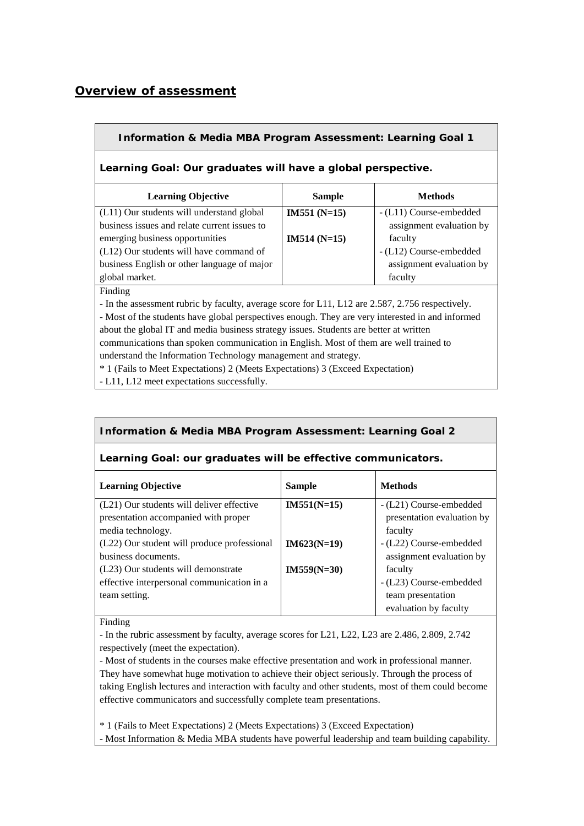### *Overview of assessment*

#### **Information & Media MBA Program Assessment: Learning Goal 1**

#### **Learning Goal: Our graduates will have a global perspective.**

| <b>Learning Objective</b>                    | <b>Sample</b> | <b>Methods</b>           |
|----------------------------------------------|---------------|--------------------------|
| (L11) Our students will understand global    | $IM551(N=15)$ | - (L11) Course-embedded  |
| business issues and relate current issues to |               | assignment evaluation by |
| emerging business opportunities              | $IM514(N=15)$ | faculty                  |
| (L12) Our students will have command of      |               | - (L12) Course-embedded  |
| business English or other language of major  |               | assignment evaluation by |
| global market.                               |               | faculty                  |

Finding

**-** In the assessment rubric by faculty, average score for L11, L12 are 2.587, 2.756 respectively.

- Most of the students have global perspectives enough. They are very interested in and informed about the global IT and media business strategy issues. Students are better at written communications than spoken communication in English. Most of them are well trained to understand the Information Technology management and strategy.

\* 1 (Fails to Meet Expectations) 2 (Meets Expectations) 3 (Exceed Expectation)

- L11, L12 meet expectations successfully.

#### **Information & Media MBA Program Assessment: Learning Goal 2**

#### **Learning Goal: our graduates will be effective communicators.**

| <b>Learning Objective</b>                   | <b>Sample</b> | <b>Methods</b>             |
|---------------------------------------------|---------------|----------------------------|
| (L21) Our students will deliver effective   | $IM551(N=15)$ | - (L21) Course-embedded    |
| presentation accompanied with proper        |               | presentation evaluation by |
| media technology.                           |               | faculty                    |
| (L22) Our student will produce professional | $IM623(N=19)$ | - (L22) Course-embedded    |
| business documents.                         |               | assignment evaluation by   |
| (L23) Our students will demonstrate         | $IM559(N=30)$ | faculty                    |
| effective interpersonal communication in a  |               | - (L23) Course-embedded    |
| team setting.                               |               | team presentation          |
|                                             |               | evaluation by faculty      |

Finding

- In the rubric assessment by faculty, average scores for L21, L22, L23 are 2.486, 2.809, 2.742 respectively (meet the expectation).

- Most of students in the courses make effective presentation and work in professional manner. They have somewhat huge motivation to achieve their object seriously. Through the process of taking English lectures and interaction with faculty and other students, most of them could become effective communicators and successfully complete team presentations.

\* 1 (Fails to Meet Expectations) 2 (Meets Expectations) 3 (Exceed Expectation)

- Most Information & Media MBA students have powerful leadership and team building capability.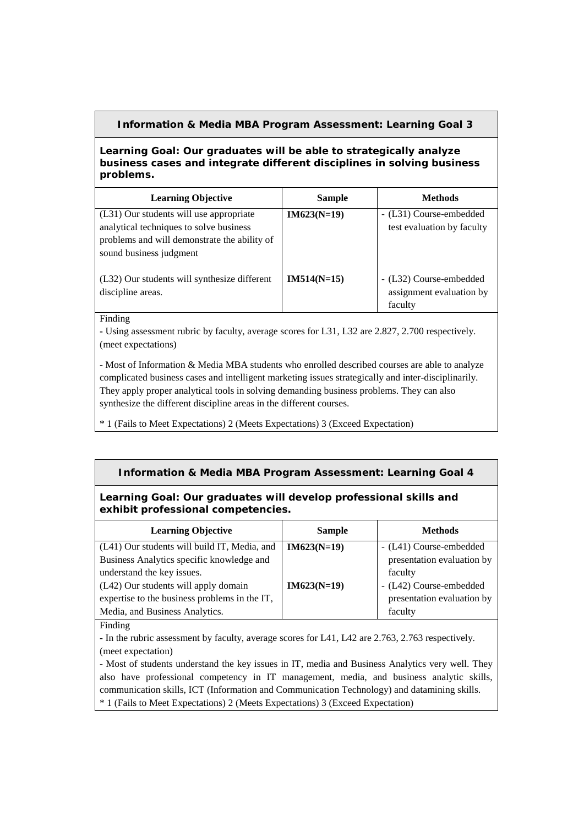#### **Information & Media MBA Program Assessment: Learning Goal 3**

**Learning Goal: Our graduates will be able to strategically analyze business cases and integrate different disciplines in solving business problems.**

| <b>Learning Objective</b>                                         | <b>Sample</b> | <b>Methods</b>                                      |
|-------------------------------------------------------------------|---------------|-----------------------------------------------------|
| (L31) Our students will use appropriate                           | $IM623(N=19)$ | - (L31) Course-embedded                             |
| analytical techniques to solve business                           |               | test evaluation by faculty                          |
| problems and will demonstrate the ability of                      |               |                                                     |
| sound business judgment                                           |               |                                                     |
| (L32) Our students will synthesize different<br>discipline areas. | $IM514(N=15)$ | - (L32) Course-embedded<br>assignment evaluation by |
|                                                                   |               | faculty                                             |

Finding

**-** Using assessment rubric by faculty, average scores for L31, L32 are 2.827, 2.700 respectively. (meet expectations)

- Most of Information & Media MBA students who enrolled described courses are able to analyze complicated business cases and intelligent marketing issues strategically and inter-disciplinarily. They apply proper analytical tools in solving demanding business problems. They can also synthesize the different discipline areas in the different courses.

\* 1 (Fails to Meet Expectations) 2 (Meets Expectations) 3 (Exceed Expectation)

#### **Information & Media MBA Program Assessment: Learning Goal 4**

#### **Learning Goal: Our graduates will develop professional skills and exhibit professional competencies.**

| <b>Learning Objective</b>                     | <b>Sample</b> | <b>Methods</b>             |
|-----------------------------------------------|---------------|----------------------------|
| (L41) Our students will build IT, Media, and  | $IM623(N=19)$ | - (L41) Course-embedded    |
| Business Analytics specific knowledge and     |               | presentation evaluation by |
| understand the key issues.                    |               | faculty                    |
| (L42) Our students will apply domain          | $IM623(N=19)$ | - (L42) Course-embedded    |
| expertise to the business problems in the IT, |               | presentation evaluation by |
| Media, and Business Analytics.                |               | faculty                    |

Finding

**-** In the rubric assessment by faculty, average scores for L41, L42 are 2.763, 2.763 respectively. (meet expectation)

- Most of students understand the key issues in IT, media and Business Analytics very well. They also have professional competency in IT management, media, and business analytic skills, communication skills, ICT (Information and Communication Technology) and datamining skills. \* 1 (Fails to Meet Expectations) 2 (Meets Expectations) 3 (Exceed Expectation)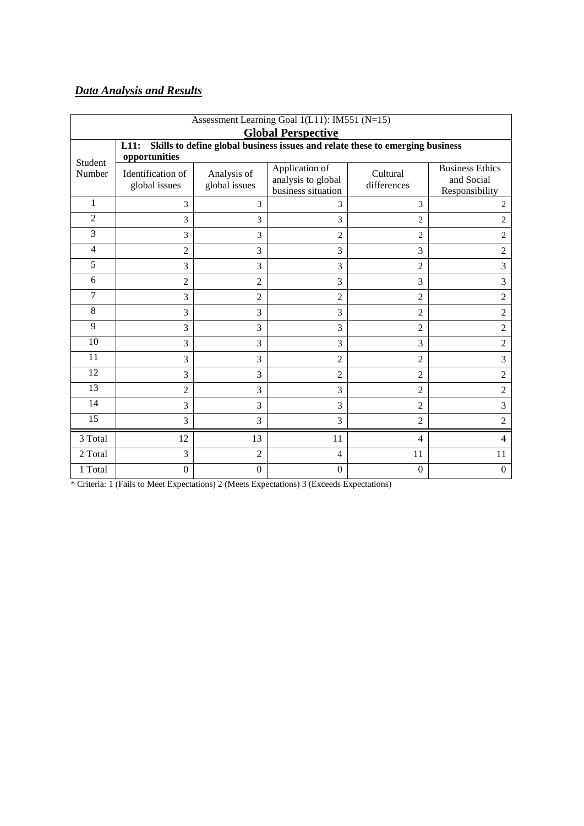## *Data Analysis and Results*

| Assessment Learning Goal 1(L11): IM551 (N=15)<br><b>Global Perspective</b> |                                    |                              |                                                            |                                                                               |                                                        |  |  |  |  |
|----------------------------------------------------------------------------|------------------------------------|------------------------------|------------------------------------------------------------|-------------------------------------------------------------------------------|--------------------------------------------------------|--|--|--|--|
|                                                                            | L11:<br>opportunities              |                              |                                                            | Skills to define global business issues and relate these to emerging business |                                                        |  |  |  |  |
| Student<br>Number                                                          | Identification of<br>global issues | Analysis of<br>global issues | Application of<br>analysis to global<br>business situation | Cultural<br>differences                                                       | <b>Business Ethics</b><br>and Social<br>Responsibility |  |  |  |  |
| 1                                                                          | 3                                  | 3                            | 3                                                          | 3                                                                             | $\overline{2}$                                         |  |  |  |  |
| $\mathfrak{2}$                                                             | 3                                  | 3                            | 3                                                          | $\overline{2}$                                                                | $\overline{c}$                                         |  |  |  |  |
| 3                                                                          | 3                                  | 3                            | $\overline{2}$                                             | $\overline{2}$                                                                | $\overline{2}$                                         |  |  |  |  |
| $\overline{4}$                                                             | $\overline{2}$                     | 3                            | 3                                                          | 3                                                                             | $\overline{2}$                                         |  |  |  |  |
| 5                                                                          | 3                                  | 3                            | 3                                                          | $\overline{2}$                                                                | 3                                                      |  |  |  |  |
| 6                                                                          | $\overline{2}$                     | 2                            | 3                                                          | 3                                                                             | 3                                                      |  |  |  |  |
| 7                                                                          | 3                                  | $\overline{c}$               | $\overline{2}$                                             | $\overline{2}$                                                                | $\overline{2}$                                         |  |  |  |  |
| 8                                                                          | 3                                  | 3                            | 3                                                          | $\overline{2}$                                                                | $\overline{2}$                                         |  |  |  |  |
| 9                                                                          | 3                                  | 3                            | 3                                                          | $\overline{2}$                                                                | $\overline{2}$                                         |  |  |  |  |
| 10                                                                         | 3                                  | 3                            | 3                                                          | 3                                                                             | $\overline{2}$                                         |  |  |  |  |
| 11                                                                         | 3                                  | 3                            | $\overline{2}$                                             | $\overline{2}$                                                                | 3                                                      |  |  |  |  |
| 12                                                                         | 3                                  | 3                            | 2                                                          | 2                                                                             | $\overline{2}$                                         |  |  |  |  |
| 13                                                                         | $\overline{2}$                     | 3                            | 3                                                          | $\overline{2}$                                                                | $\overline{2}$                                         |  |  |  |  |
| 14                                                                         | 3                                  | 3                            | 3                                                          | $\overline{2}$                                                                | 3                                                      |  |  |  |  |
| 15                                                                         | 3                                  | 3                            | 3                                                          | 2                                                                             | 2                                                      |  |  |  |  |
| 3 Total                                                                    | 12                                 | 13                           | 11                                                         | 4                                                                             | 4                                                      |  |  |  |  |
| 2 Total                                                                    | 3                                  | $\overline{2}$               | $\overline{4}$                                             | 11                                                                            | 11                                                     |  |  |  |  |
| 1 Total                                                                    | $\theta$                           | $\boldsymbol{0}$             | $\theta$                                                   | $\theta$                                                                      | $\theta$                                               |  |  |  |  |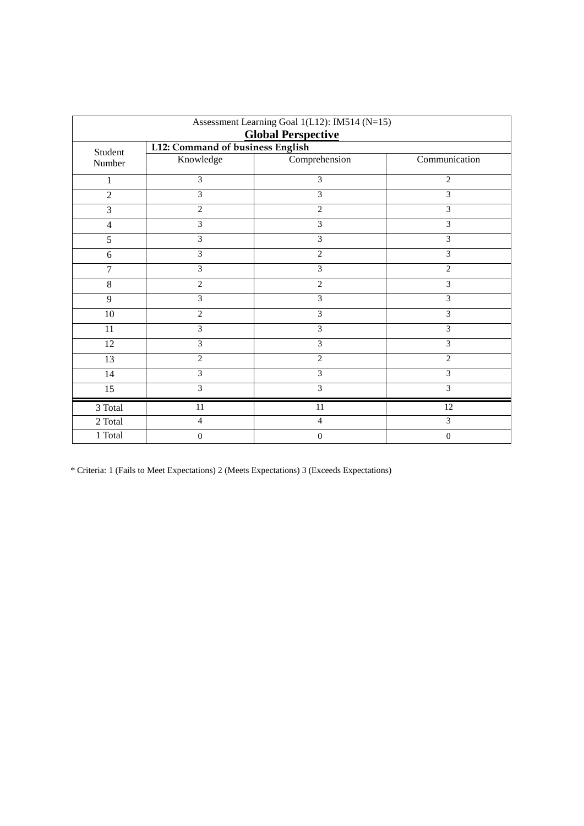| Assessment Learning Goal 1(L12): IM514 (N=15)<br><b>Global Perspective</b> |                                  |                         |                         |  |  |  |
|----------------------------------------------------------------------------|----------------------------------|-------------------------|-------------------------|--|--|--|
| Student                                                                    | L12: Command of business English |                         |                         |  |  |  |
| Number                                                                     | Knowledge                        | Comprehension           | Communication           |  |  |  |
| 1                                                                          | 3                                | $\overline{3}$          | $\overline{2}$          |  |  |  |
| $\overline{2}$                                                             | 3                                | 3                       | 3                       |  |  |  |
| 3                                                                          | $\overline{2}$                   | $\overline{2}$          | $\overline{3}$          |  |  |  |
| $\overline{4}$                                                             | 3                                | $\overline{\mathbf{3}}$ | $\overline{\mathbf{3}}$ |  |  |  |
| 5                                                                          | 3                                | $\overline{3}$          | $\overline{3}$          |  |  |  |
| 6                                                                          | 3                                | $\overline{2}$          | $\overline{\mathbf{3}}$ |  |  |  |
| $\overline{7}$                                                             | 3                                | $\overline{3}$          | $\overline{2}$          |  |  |  |
| 8                                                                          | $\overline{2}$                   | $\overline{2}$          | $\overline{3}$          |  |  |  |
| 9                                                                          | $\overline{3}$                   | $\overline{3}$          | $\overline{3}$          |  |  |  |
| 10                                                                         | $\overline{2}$                   | $\overline{3}$          | $\overline{3}$          |  |  |  |
| 11                                                                         | 3                                | $\overline{\mathbf{3}}$ | $\overline{\mathbf{3}}$ |  |  |  |
| 12                                                                         | 3                                | $\overline{3}$          | $\overline{3}$          |  |  |  |
| 13                                                                         | $\sqrt{2}$                       | $\,2$                   | $\sqrt{2}$              |  |  |  |
| 14                                                                         | 3                                | $\overline{3}$          | 3                       |  |  |  |
| $\overline{15}$                                                            | $\overline{3}$                   | $\overline{\mathbf{3}}$ | $\overline{3}$          |  |  |  |
| 3 Total                                                                    | 11                               | 11                      | 12                      |  |  |  |
| 2 Total                                                                    | $\overline{4}$                   | $\overline{4}$          | $\mathfrak{Z}$          |  |  |  |
| 1 Total                                                                    | $\boldsymbol{0}$                 | $\boldsymbol{0}$        | $\boldsymbol{0}$        |  |  |  |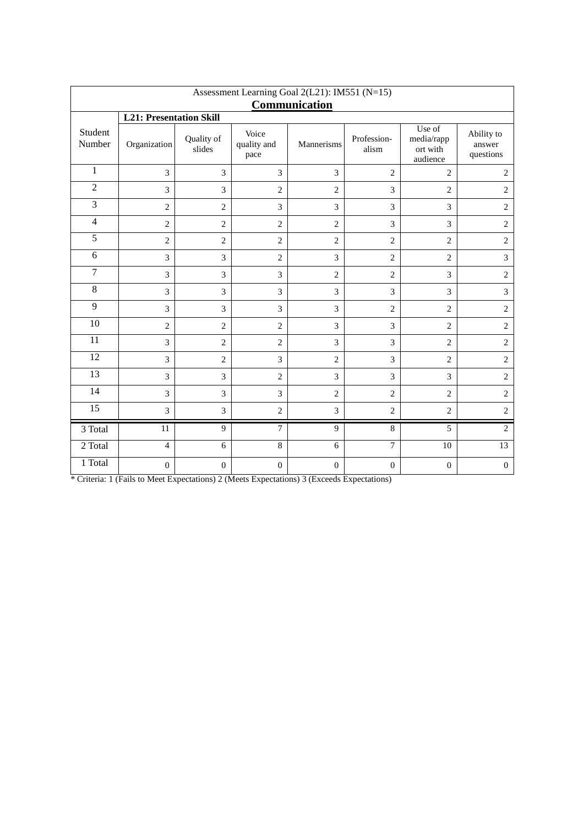| Assessment Learning Goal 2(L21): IM551 (N=15)<br>Communication |                                |                      |                              |                  |                      |                                              |                                   |  |
|----------------------------------------------------------------|--------------------------------|----------------------|------------------------------|------------------|----------------------|----------------------------------------------|-----------------------------------|--|
|                                                                | <b>L21: Presentation Skill</b> |                      |                              |                  |                      |                                              |                                   |  |
| Student<br>Number                                              | Organization                   | Quality of<br>slides | Voice<br>quality and<br>pace | Mannerisms       | Profession-<br>alism | Use of<br>media/rapp<br>ort with<br>audience | Ability to<br>answer<br>questions |  |
| $\mathbf{1}$                                                   | 3                              | 3                    | 3                            | 3                | $\overline{c}$       | $\overline{2}$                               | $\mathbf{2}$                      |  |
| $\overline{2}$                                                 | 3                              | $\overline{3}$       | $\overline{2}$               | $\overline{2}$   | 3                    | $\overline{2}$                               | $\mathbf{2}$                      |  |
| $\overline{3}$                                                 | $\overline{c}$                 | $\overline{2}$       | 3                            | 3                | 3                    | 3                                            | $\overline{2}$                    |  |
| $\overline{4}$                                                 | $\overline{c}$                 | $\overline{2}$       | $\overline{2}$               | $\overline{2}$   | 3                    | 3                                            | $\mathbf{2}$                      |  |
| $\overline{5}$                                                 | $\sqrt{2}$                     | $\overline{c}$       | $\overline{2}$               | $\overline{2}$   | $\overline{c}$       | $\overline{2}$                               | $\sqrt{2}$                        |  |
| 6                                                              | 3                              | $\overline{3}$       | $\overline{2}$               | $\overline{3}$   | $\overline{c}$       | $\overline{2}$                               | 3                                 |  |
| $\overline{7}$                                                 | 3                              | 3                    | 3                            | $\overline{2}$   | $\overline{c}$       | 3                                            | $\sqrt{2}$                        |  |
| $\,8\,$                                                        | 3                              | $\mathfrak{Z}$       | 3                            | 3                | 3                    | 3                                            | $\mathfrak{Z}$                    |  |
| 9                                                              | 3                              | 3                    | 3                            | 3                | $\overline{c}$       | $\mathbf{2}$                                 | $\mathbf{2}$                      |  |
| 10                                                             | $\overline{c}$                 | $\overline{2}$       | $\overline{2}$               | $\overline{3}$   | 3                    | $\overline{2}$                               | $\mathbf{2}$                      |  |
| 11                                                             | 3                              | $\overline{2}$       | $\overline{2}$               | 3                | 3                    | $\overline{2}$                               | $\sqrt{2}$                        |  |
| 12                                                             | 3                              | $\overline{2}$       | $\overline{3}$               | $\overline{2}$   | 3                    | $\overline{2}$                               | $\mathbf{2}$                      |  |
| 13                                                             | 3                              | $\overline{3}$       | $\overline{2}$               | $\overline{3}$   | 3                    | 3                                            | $\overline{2}$                    |  |
| 14                                                             | 3                              | 3                    | 3                            | $\overline{2}$   | $\overline{2}$       | $\overline{2}$                               | $\overline{2}$                    |  |
| 15                                                             | 3                              | 3                    | $\overline{2}$               | 3                | $\overline{c}$       | $\overline{c}$                               | $\overline{2}$                    |  |
| 3 Total                                                        | 11                             | 9                    | $\tau$                       | 9                | 8                    | 5                                            | $\overline{2}$                    |  |
| 2 Total                                                        | $\overline{4}$                 | $\overline{6}$       | $\overline{8}$               | 6                | $\overline{7}$       | $\overline{10}$                              | $\overline{13}$                   |  |
| 1 Total                                                        | $\boldsymbol{0}$               | $\boldsymbol{0}$     | $\boldsymbol{0}$             | $\boldsymbol{0}$ | $\boldsymbol{0}$     | $\boldsymbol{0}$                             | $\mathbf{0}$                      |  |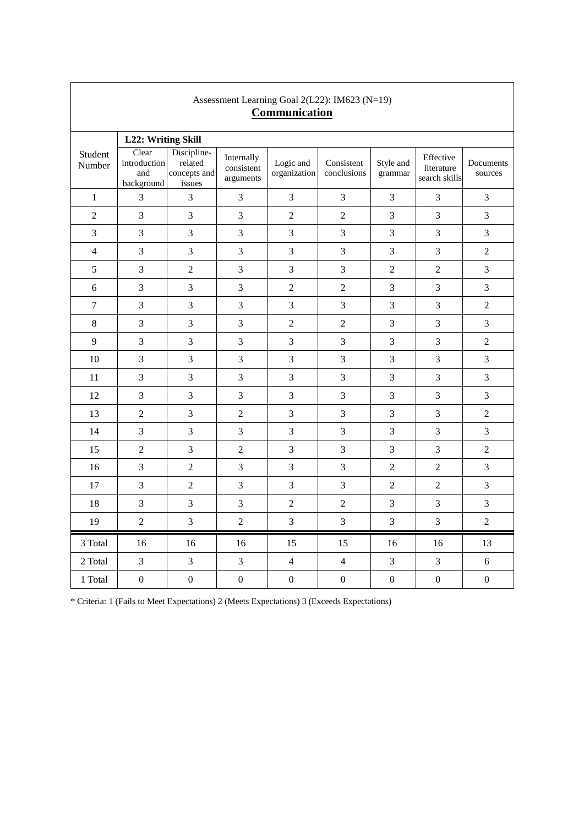| Assessment Learning Goal 2(L22): IM623 (N=19)<br>Communication |                                            |                                                  |                                       |                           |                           |                      |                                          |                      |  |
|----------------------------------------------------------------|--------------------------------------------|--------------------------------------------------|---------------------------------------|---------------------------|---------------------------|----------------------|------------------------------------------|----------------------|--|
|                                                                | L22: Writing Skill                         |                                                  |                                       |                           |                           |                      |                                          |                      |  |
| Student<br>Number                                              | Clear<br>introduction<br>and<br>background | Discipline-<br>related<br>concepts and<br>issues | Internally<br>consistent<br>arguments | Logic and<br>organization | Consistent<br>conclusions | Style and<br>grammar | Effective<br>literature<br>search skills | Documents<br>sources |  |
| $\mathbf{1}$                                                   | 3                                          | $\mathfrak{Z}$                                   | 3                                     | $\overline{3}$            | 3                         | $\mathfrak{Z}$       | $\overline{3}$                           | $\mathfrak{Z}$       |  |
| $\overline{c}$                                                 | 3                                          | $\mathfrak{Z}$                                   | 3                                     | $\overline{2}$            | $\overline{2}$            | $\mathfrak{Z}$       | 3                                        | 3                    |  |
| 3                                                              | 3                                          | 3                                                | 3                                     | $\overline{3}$            | 3                         | $\mathfrak{Z}$       | 3                                        | 3                    |  |
| $\overline{4}$                                                 | 3                                          | $\mathfrak{Z}$                                   | 3                                     | $\overline{3}$            | $\overline{3}$            | $\mathfrak{Z}$       | 3                                        | $\sqrt{2}$           |  |
| 5                                                              | 3                                          | $\overline{2}$                                   | 3                                     | $\overline{3}$            | $\overline{3}$            | $\sqrt{2}$           | $\overline{2}$                           | 3                    |  |
| 6                                                              | 3                                          | 3                                                | 3                                     | $\overline{2}$            | $\overline{2}$            | 3                    | 3                                        | $\mathfrak{Z}$       |  |
| $\overline{7}$                                                 | 3                                          | 3                                                | 3                                     | 3                         | 3                         | $\mathfrak{Z}$       | 3                                        | $\overline{2}$       |  |
| 8                                                              | $\mathfrak{Z}$                             | $\mathfrak{Z}$                                   | 3                                     | $\overline{2}$            | $\overline{2}$            | $\mathfrak{Z}$       | $\mathfrak{Z}$                           | $\mathfrak{Z}$       |  |
| 9                                                              | 3                                          | $\mathfrak{Z}$                                   | 3                                     | $\overline{3}$            | $\overline{3}$            | $\mathfrak{Z}$       | 3                                        | $\sqrt{2}$           |  |
| 10                                                             | 3                                          | $\mathfrak{Z}$                                   | 3                                     | 3                         | 3                         | 3                    | 3                                        | $\mathfrak{Z}$       |  |
| 11                                                             | 3                                          | 3                                                | 3                                     | 3                         | 3                         | $\mathfrak{Z}$       | 3                                        | 3                    |  |
| 12                                                             | 3                                          | 3                                                | 3                                     | $\overline{3}$            | 3                         | $\overline{3}$       | 3                                        | 3                    |  |
| 13                                                             | $\sqrt{2}$                                 | $\mathfrak{Z}$                                   | $\overline{2}$                        | $\overline{3}$            | $\mathfrak{Z}$            | $\mathfrak{Z}$       | $\mathfrak{Z}$                           | $\sqrt{2}$           |  |
| 14                                                             | $\overline{3}$                             | $\overline{3}$                                   | 3                                     | $\overline{3}$            | 3                         | $\overline{3}$       | $\mathfrak{Z}$                           | 3                    |  |
| 15                                                             | $\boldsymbol{2}$                           | $\overline{3}$                                   | $\overline{2}$                        | 3                         | $\mathfrak{Z}$            | $\overline{3}$       | $\mathfrak{Z}$                           | $\overline{2}$       |  |
| 16                                                             | 3                                          | $\sqrt{2}$                                       | 3                                     | 3                         | 3                         | $\overline{2}$       | $\overline{2}$                           | $\mathfrak{Z}$       |  |
| 17                                                             | 3                                          | $\overline{c}$                                   | $\overline{3}$                        | $\overline{3}$            | $\overline{3}$            | $\overline{2}$       | $\overline{2}$                           | 3                    |  |
| 18                                                             | 3                                          | $\mathfrak{Z}$                                   | 3                                     | $\overline{2}$            | $\sqrt{2}$                | $\mathfrak{Z}$       | 3                                        | $\mathfrak{Z}$       |  |
| 19                                                             | $\overline{c}$                             | $\mathfrak{Z}$                                   | $\overline{2}$                        | 3                         | 3                         | $\mathfrak{Z}$       | 3                                        | $\overline{2}$       |  |
| 3 Total                                                        | 16                                         | 16                                               | 16                                    | 15                        | 15                        | 16                   | 16                                       | 13                   |  |
| 2 Total                                                        | 3                                          | 3                                                | 3                                     | $\overline{4}$            | $\overline{4}$            | 3                    | 3                                        | 6                    |  |
| 1 Total                                                        | $\boldsymbol{0}$                           | $\boldsymbol{0}$                                 | $\boldsymbol{0}$                      | $\boldsymbol{0}$          | $\boldsymbol{0}$          | $\boldsymbol{0}$     | $\boldsymbol{0}$                         | $\boldsymbol{0}$     |  |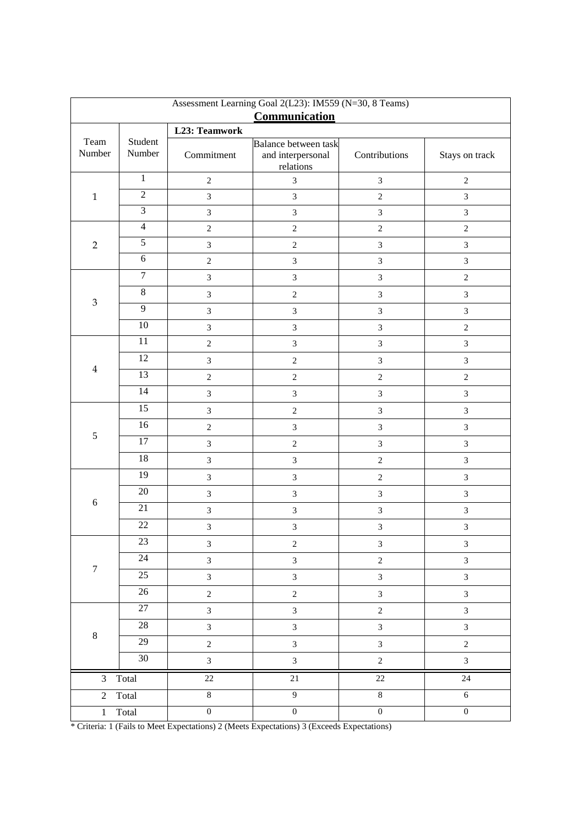| Assessment Learning Goal 2(L23): IM559 (N=30, 8 Teams)<br><b>Communication</b> |                |                  |                                |                             |                         |  |  |  |  |
|--------------------------------------------------------------------------------|----------------|------------------|--------------------------------|-----------------------------|-------------------------|--|--|--|--|
| L23: Teamwork                                                                  |                |                  |                                |                             |                         |  |  |  |  |
| Team                                                                           | Student        |                  | Balance between task           |                             |                         |  |  |  |  |
| Number                                                                         | Number         | Commitment       | and interpersonal<br>relations | Contributions               | Stays on track          |  |  |  |  |
|                                                                                | $\mathbf 1$    | $\overline{c}$   | 3                              | $\sqrt{3}$                  | $\sqrt{2}$              |  |  |  |  |
| $\mathbf{1}$                                                                   | $\overline{2}$ | $\mathfrak{Z}$   | $\mathfrak{Z}$                 | $\sqrt{2}$                  | 3                       |  |  |  |  |
|                                                                                | $\mathfrak{Z}$ | $\mathfrak{Z}$   | $\mathfrak{Z}$                 | $\ensuremath{\mathfrak{Z}}$ | 3                       |  |  |  |  |
|                                                                                | $\overline{4}$ | $\sqrt{2}$       | $\sqrt{2}$                     | $\sqrt{2}$                  | $\sqrt{2}$              |  |  |  |  |
| $\overline{2}$<br>$\ensuremath{\mathfrak{Z}}$                                  | $\overline{5}$ | $\overline{3}$   | $\overline{c}$                 | $\mathfrak{Z}$              | $\overline{3}$          |  |  |  |  |
|                                                                                | $\sqrt{6}$     | $\overline{2}$   | $\overline{3}$                 | $\overline{3}$              | $\overline{3}$          |  |  |  |  |
|                                                                                | $\overline{7}$ | 3                | $\mathfrak{Z}$                 | $\mathfrak{Z}$              | $\overline{c}$          |  |  |  |  |
|                                                                                | $\,8\,$        | $\mathfrak{Z}$   | $\sqrt{2}$                     | $\sqrt{3}$                  | $\overline{3}$          |  |  |  |  |
|                                                                                | $\overline{9}$ | $\overline{3}$   | 3                              | $\overline{3}$              | 3                       |  |  |  |  |
|                                                                                | $10\,$         | $\overline{3}$   | $\mathfrak{Z}$                 | $\ensuremath{\mathfrak{Z}}$ | $\sqrt{2}$              |  |  |  |  |
|                                                                                | 11             | $\sqrt{2}$       | 3                              | $\overline{3}$              | 3                       |  |  |  |  |
| $\bf 4$                                                                        | 12             | $\overline{3}$   | $\overline{c}$                 | $\overline{3}$              | 3                       |  |  |  |  |
|                                                                                | 13             | $\sqrt{2}$       | $\overline{c}$                 | $\sqrt{2}$                  | $\overline{c}$          |  |  |  |  |
|                                                                                | 14             | $\overline{3}$   | $\mathfrak{Z}$                 | $\mathfrak{Z}$              | 3                       |  |  |  |  |
| $\sqrt{5}$                                                                     | 15             | 3                | $\overline{c}$                 | $\ensuremath{\mathfrak{Z}}$ | 3                       |  |  |  |  |
|                                                                                | 16             | $\sqrt{2}$       | $\mathfrak{Z}$                 | $\mathfrak{Z}$              | 3                       |  |  |  |  |
|                                                                                | $17\,$         | $\overline{3}$   | $\overline{c}$                 | $\ensuremath{\mathfrak{Z}}$ | $\overline{3}$          |  |  |  |  |
|                                                                                | 18             | $\overline{3}$   | 3                              | $\sqrt{2}$                  | 3                       |  |  |  |  |
|                                                                                | 19             | $\mathfrak{Z}$   | $\mathfrak{Z}$                 | $\sqrt{2}$                  | 3                       |  |  |  |  |
|                                                                                | $20\,$         | $\overline{3}$   | $\mathfrak{Z}$                 | $\mathfrak{Z}$              | $\mathfrak{Z}$          |  |  |  |  |
| $\sqrt{6}$                                                                     | 21             | 3                | 3                              | $\overline{3}$              | 3                       |  |  |  |  |
|                                                                                | 22             | $\mathfrak{Z}$   | $\mathfrak{Z}$                 | $\sqrt{3}$                  | $\mathfrak{Z}$          |  |  |  |  |
|                                                                                | 23             | $\mathfrak{Z}$   | $\mathbf{2}$                   | $\ensuremath{\mathfrak{Z}}$ | $\mathfrak{Z}$          |  |  |  |  |
|                                                                                | 24             | $\overline{3}$   | $\overline{\mathbf{3}}$        | $\sqrt{2}$                  | $\overline{\mathbf{3}}$ |  |  |  |  |
| $\boldsymbol{7}$                                                               | 25             | $\mathfrak{Z}$   | $\overline{3}$                 | $\mathfrak{Z}$              | $\overline{3}$          |  |  |  |  |
|                                                                                | $26\,$         | $\overline{c}$   | $\overline{c}$                 | $\mathfrak{Z}$              | $\overline{3}$          |  |  |  |  |
|                                                                                | 27             | $\overline{3}$   | $\overline{3}$                 | $\overline{2}$              | $\overline{3}$          |  |  |  |  |
|                                                                                | $28\,$         | $\overline{3}$   | $\overline{\mathbf{3}}$        | $\mathfrak{Z}$              | $\overline{3}$          |  |  |  |  |
| $\,8\,$                                                                        | 29             | $\boldsymbol{2}$ | $\mathfrak{Z}$                 | $\mathfrak{Z}$              | $\overline{c}$          |  |  |  |  |
|                                                                                | 30             | $\overline{3}$   | $\overline{\mathbf{3}}$        | $\overline{2}$              | $\overline{3}$          |  |  |  |  |
| 3 <sup>7</sup>                                                                 | Total          | $22\,$           | $\overline{21}$                | $22\,$                      | $\overline{24}$         |  |  |  |  |
| $\overline{2}$                                                                 | Total          | $\sqrt{8}$       | $\overline{9}$                 | $\overline{8}$              | $\overline{6}$          |  |  |  |  |
| 1                                                                              | Total          | $0\,$            | $\overline{0}$                 | $\overline{0}$              | $\boldsymbol{0}$        |  |  |  |  |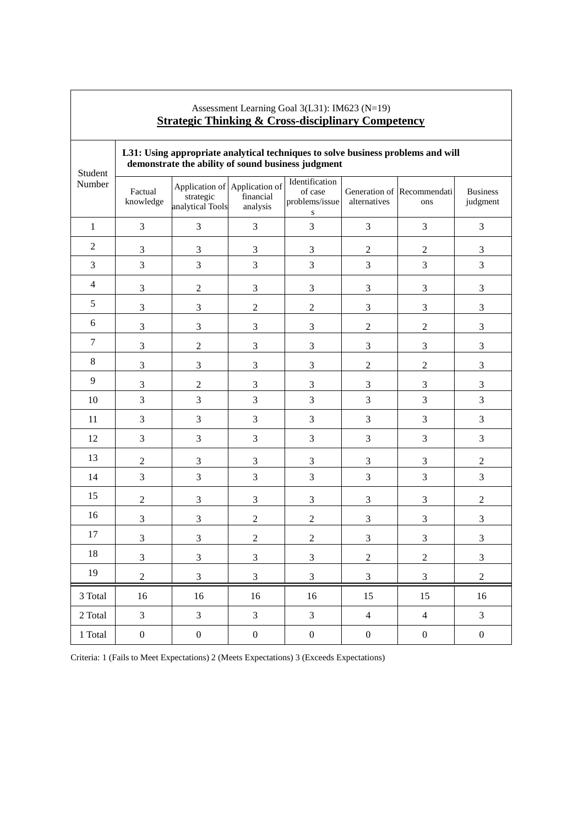|                     | L31: Using appropriate analytical techniques to solve business problems and will<br>demonstrate the ability of sound business judgment<br>Student |                               |                                                        |                                                          |                  |                                   |                             |  |
|---------------------|---------------------------------------------------------------------------------------------------------------------------------------------------|-------------------------------|--------------------------------------------------------|----------------------------------------------------------|------------------|-----------------------------------|-----------------------------|--|
| Number              | Factual<br>knowledge                                                                                                                              | strategic<br>analytical Tools | Application of Application of<br>financial<br>analysis | Identification<br>of case<br>problems/issue<br>${\bf S}$ | alternatives     | Generation of Recommendati<br>ons | <b>Business</b><br>judgment |  |
| $\mathbf{1}$        | 3                                                                                                                                                 | 3                             | 3                                                      | 3                                                        | 3                | 3                                 | 3                           |  |
| $\overline{c}$      | $\ensuremath{\mathfrak{Z}}$                                                                                                                       | $\mathfrak{Z}$                | $\mathfrak{Z}$                                         | $\mathfrak{Z}$                                           | $\sqrt{2}$       | $\mathfrak{2}$                    | $\mathfrak{Z}$              |  |
| 3                   | 3                                                                                                                                                 | 3                             | 3                                                      | $\mathfrak{Z}$                                           | $\mathfrak{Z}$   | 3                                 | 3                           |  |
| $\overline{4}$      | 3                                                                                                                                                 | $\sqrt{2}$                    | 3                                                      | 3                                                        | $\mathfrak{Z}$   | 3                                 | $\mathfrak 3$               |  |
| 5                   | $\mathfrak{Z}$                                                                                                                                    | $\mathfrak{Z}$                | $\overline{c}$                                         | $\sqrt{2}$                                               | $\mathfrak{Z}$   | $\mathfrak{Z}$                    | $\ensuremath{\mathfrak{Z}}$ |  |
| 6                   | $\mathfrak{Z}$                                                                                                                                    | $\mathfrak{Z}$                | $\mathfrak{Z}$                                         | $\mathfrak{Z}$                                           | $\boldsymbol{2}$ | $\boldsymbol{2}$                  | $\mathfrak{Z}$              |  |
| $\tau$              | $\mathfrak{Z}$                                                                                                                                    | $\sqrt{2}$                    | $\mathfrak{Z}$                                         | $\mathfrak{Z}$                                           | $\mathfrak{Z}$   | 3                                 | $\ensuremath{\mathfrak{Z}}$ |  |
| $8\,$               | $\mathfrak{Z}$                                                                                                                                    | 3                             | 3                                                      | 3                                                        | $\sqrt{2}$       | $\mathbf 2$                       | $\mathfrak{Z}$              |  |
| 9                   | 3                                                                                                                                                 | $\overline{c}$                | $\mathfrak{Z}$                                         | $\mathfrak{Z}$                                           | $\mathfrak{Z}$   | 3                                 | $\mathfrak{Z}$              |  |
| 10                  | $\mathfrak{Z}$                                                                                                                                    | 3                             | 3                                                      | 3                                                        | 3                | 3                                 | 3                           |  |
| 11                  | $\mathfrak{Z}$                                                                                                                                    | $\mathfrak{Z}$                | 3                                                      | 3                                                        | 3                | 3                                 | $\mathfrak 3$               |  |
| 12                  | $\mathfrak{Z}$                                                                                                                                    | 3                             | 3                                                      | 3                                                        | 3                | $\mathfrak{Z}$                    | $\mathfrak{Z}$              |  |
| 13                  | $\boldsymbol{2}$                                                                                                                                  | $\mathfrak{Z}$                | $\mathfrak{Z}$                                         | $\mathfrak{Z}$                                           | $\mathfrak{Z}$   | $\mathfrak{Z}$                    | $\sqrt{2}$                  |  |
| 14                  | $\overline{3}$                                                                                                                                    | $\mathfrak{Z}$                | 3                                                      | $\overline{3}$                                           | $\mathfrak{Z}$   | 3                                 | $\mathfrak{Z}$              |  |
| 15                  | $\sqrt{2}$                                                                                                                                        | $\ensuremath{\mathfrak{Z}}$   | 3                                                      | $\mathfrak{Z}$                                           | $\mathfrak{Z}$   | 3                                 | $\sqrt{2}$                  |  |
| 16                  | $\mathfrak{Z}$                                                                                                                                    | 3                             | $\overline{c}$                                         | $\overline{2}$                                           | $\mathfrak{Z}$   | 3                                 | $\mathfrak{Z}$              |  |
| 17                  | $\mathfrak 3$                                                                                                                                     | $\mathfrak{Z}$                | $\overline{2}$                                         | $\overline{2}$                                           | $\mathfrak{Z}$   | $\mathfrak{Z}$                    | $\mathfrak{Z}$              |  |
| 18                  | 3                                                                                                                                                 | $\mathfrak{Z}$                | $\mathfrak{Z}$                                         | $\mathfrak{Z}$                                           | $\overline{2}$   | $\overline{2}$                    | $\mathfrak{Z}$              |  |
| 19                  | $\sqrt{2}$                                                                                                                                        | $\mathfrak{Z}$                | $\mathfrak{Z}$                                         | $\mathfrak{Z}$                                           | $\mathfrak{Z}$   | $\mathfrak{Z}$                    | $\boldsymbol{2}$            |  |
| 3 Total             | 16                                                                                                                                                | 16                            | $16\,$                                                 | 16                                                       | 15               | 15                                | 16                          |  |
| 2 Total             | $\overline{3}$                                                                                                                                    | $\overline{3}$                | $\overline{3}$                                         | $\overline{3}$                                           | $\overline{4}$   | $\overline{4}$                    | $\overline{3}$              |  |
| $1\ \mathrm{Total}$ | $\boldsymbol{0}$                                                                                                                                  | $\boldsymbol{0}$              | $\boldsymbol{0}$                                       | $\boldsymbol{0}$                                         | $\boldsymbol{0}$ | $\boldsymbol{0}$                  | $\boldsymbol{0}$            |  |

#### Assessment Learning Goal 3(L31): IM623 (N=19) **Strategic Thinking & Cross-disciplinary Competency**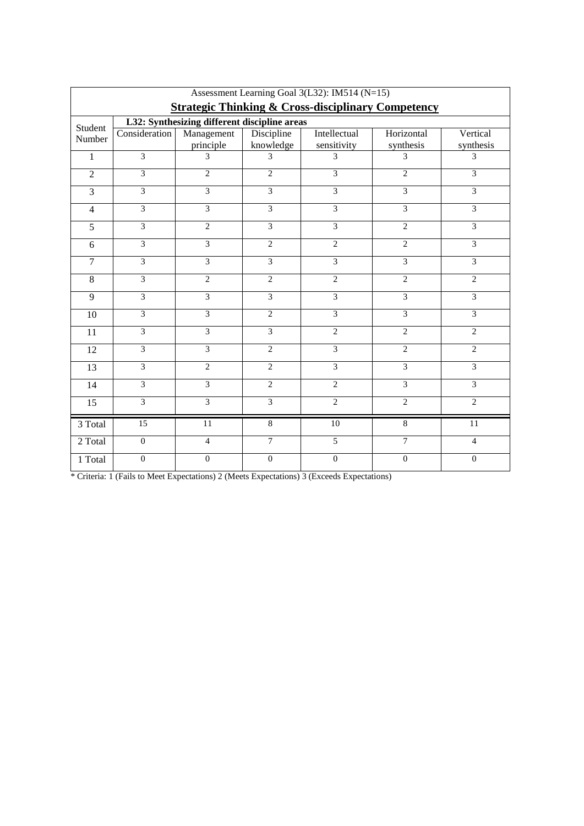| Assessment Learning Goal 3(L32): IM514 (N=15)<br><b>Strategic Thinking &amp; Cross-disciplinary Competency</b> |                         |                                              |                         |                  |                |                |  |
|----------------------------------------------------------------------------------------------------------------|-------------------------|----------------------------------------------|-------------------------|------------------|----------------|----------------|--|
|                                                                                                                |                         |                                              |                         |                  |                |                |  |
| Student                                                                                                        |                         | L32: Synthesizing different discipline areas |                         |                  |                |                |  |
| Number                                                                                                         | Consideration           | Management<br>principle                      | Discipline<br>knowledge | Intellectual     | Horizontal     | Vertical       |  |
| $\mathbf{1}$                                                                                                   | $\overline{3}$          | 3                                            | 3                       | sensitivity<br>3 | synthesis<br>3 | synthesis<br>3 |  |
|                                                                                                                |                         |                                              |                         |                  |                |                |  |
| $\overline{2}$                                                                                                 | $\mathfrak{Z}$          | 2                                            | $\mathbf{2}$            | $\overline{3}$   | $\overline{c}$ | 3              |  |
| 3                                                                                                              | 3                       | 3                                            | $\overline{3}$          | $\overline{3}$   | $\overline{3}$ | $\overline{3}$ |  |
| $\overline{4}$                                                                                                 | $\overline{\mathbf{3}}$ | $\overline{\mathbf{3}}$                      | $\overline{3}$          | $\overline{3}$   | $\overline{3}$ | $\overline{3}$ |  |
| 5                                                                                                              | $\mathfrak{Z}$          | 2                                            | $\overline{\mathbf{3}}$ | 3                | $\overline{2}$ | 3              |  |
| 6                                                                                                              | $\overline{3}$          | $\overline{3}$                               | $\overline{2}$          | $\overline{2}$   | $\overline{2}$ | $\overline{3}$ |  |
| $\tau$                                                                                                         | $\overline{3}$          | $\overline{3}$                               | $\overline{3}$          | $\overline{3}$   | $\overline{3}$ | 3              |  |
| $\overline{8}$                                                                                                 | $\overline{3}$          | $\overline{2}$                               | $\overline{2}$          | $\overline{2}$   | $\overline{2}$ | $\overline{2}$ |  |
| 9                                                                                                              | 3                       | 3                                            | $\overline{3}$          | $\overline{3}$   | $\overline{3}$ | 3              |  |
| 10                                                                                                             | $\overline{3}$          | $\overline{3}$                               | $\overline{2}$          | $\overline{3}$   | $\overline{3}$ | 3              |  |
| 11                                                                                                             | $\overline{3}$          | 3                                            | $\overline{\mathbf{3}}$ | $\overline{2}$   | $\overline{2}$ | $\overline{2}$ |  |
| 12                                                                                                             | $\mathfrak{Z}$          | 3                                            | $\sqrt{2}$              | 3                | $\overline{c}$ | $\overline{c}$ |  |
| 13                                                                                                             | 3                       | $\overline{c}$                               | $\overline{2}$          | $\overline{3}$   | $\overline{3}$ | $\overline{3}$ |  |
| 14                                                                                                             | $\overline{\mathbf{3}}$ | $\overline{3}$                               | $\overline{2}$          | $\overline{2}$   | $\overline{3}$ | $\overline{3}$ |  |
| $\overline{15}$                                                                                                | $\overline{3}$          | $\overline{3}$                               | $\overline{3}$          | $\overline{2}$   | $\overline{2}$ | $\overline{2}$ |  |
| 3 Total                                                                                                        | 15                      | 11                                           | $\overline{8}$          | 10               | $\overline{8}$ | 11             |  |
| 2 Total                                                                                                        | $\boldsymbol{0}$        | $\overline{4}$                               | $\overline{7}$          | $\overline{5}$   | $\overline{7}$ | $\overline{4}$ |  |
| 1 Total                                                                                                        | $\overline{0}$          | $\mathbf{0}$                                 | $\mathbf{0}$            | $\mathbf{0}$     | $\overline{0}$ | $\overline{0}$ |  |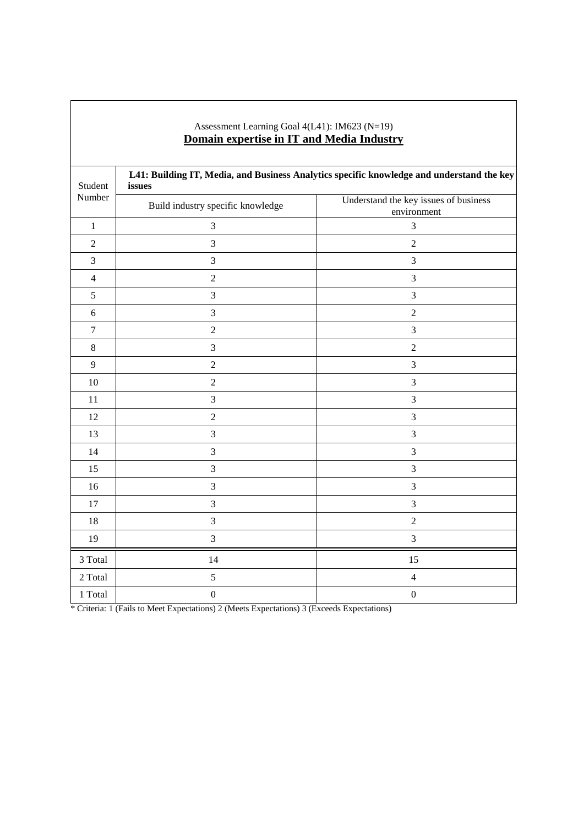| Student<br>Number | L41: Building IT, Media, and Business Analytics specific knowledge and understand the key<br>issues |                                                      |  |
|-------------------|-----------------------------------------------------------------------------------------------------|------------------------------------------------------|--|
|                   | Build industry specific knowledge                                                                   | Understand the key issues of business<br>environment |  |
| $\mathbf{1}$      | $\mathfrak 3$                                                                                       | 3                                                    |  |
| $\overline{2}$    | 3                                                                                                   | $\overline{2}$                                       |  |
| $\mathfrak{Z}$    | $\mathfrak{Z}$                                                                                      | $\mathfrak{Z}$                                       |  |
| $\overline{4}$    | $\overline{2}$                                                                                      | 3                                                    |  |
| 5                 | 3                                                                                                   | 3                                                    |  |
| $\sqrt{6}$        | $\mathfrak{Z}$                                                                                      | $\sqrt{2}$                                           |  |
| $\boldsymbol{7}$  | $\sqrt{2}$                                                                                          | $\mathfrak{Z}$                                       |  |
| $\,8\,$           | 3                                                                                                   | $\overline{2}$                                       |  |
| 9                 | $\sqrt{2}$                                                                                          | $\mathfrak{Z}$                                       |  |
| $10\,$            | $\sqrt{2}$                                                                                          | $\mathfrak{Z}$                                       |  |
| 11                | 3                                                                                                   | $\mathfrak{Z}$                                       |  |
| 12                | $\sqrt{2}$                                                                                          | $\mathfrak{Z}$                                       |  |
| 13                | 3                                                                                                   | 3                                                    |  |
| 14                | $\mathfrak{Z}$                                                                                      | 3                                                    |  |
| 15                | $\mathfrak{Z}$                                                                                      | $\mathfrak{Z}$                                       |  |
| 16                | $\mathfrak{Z}$                                                                                      | $\mathfrak{Z}$                                       |  |
| 17                | 3                                                                                                   | 3                                                    |  |
| 18                | $\overline{3}$                                                                                      | $\sqrt{2}$                                           |  |
| 19                | 3                                                                                                   | $\mathfrak{Z}$                                       |  |
| 3 Total           | 14                                                                                                  | 15                                                   |  |
| 2 Total           | $\sqrt{5}$                                                                                          | $\overline{4}$                                       |  |
| 1 Total           | $\boldsymbol{0}$                                                                                    | $\boldsymbol{0}$                                     |  |

#### Assessment Learning Goal 4(L41): IM623 (N=19) **Domain expertise in IT and Media Industry**